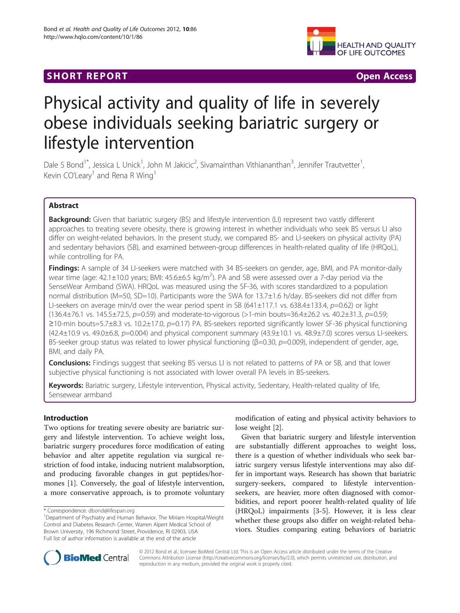## **SHORT REPORT SHORT CONSUMING THE SHORT CONSUMING THE SHORT CONSUMING THE SHORT CONSUMING THE SHORT CONSUMING THE SHORT CONSUMING THE SHORT CONSUMING THE SHORT CONSUMING THE SHORT CONSUMING THE SHORT CONSUMING THE SHORT**



# Physical activity and quality of life in severely obese individuals seeking bariatric surgery or lifestyle intervention

Dale S Bond<sup>1\*</sup>, Jessica L Unick<sup>1</sup>, John M Jakicic<sup>2</sup>, Sivamainthan Vithiananthan<sup>3</sup>, Jennifer Trautvetter<sup>1</sup> , Kevin CO'Leary<sup>1</sup> and Rena R Wing<sup>1</sup>

## Abstract

Background: Given that bariatric surgery (BS) and lifestyle intervention (LI) represent two vastly different approaches to treating severe obesity, there is growing interest in whether individuals who seek BS versus LI also differ on weight-related behaviors. In the present study, we compared BS- and LI-seekers on physical activity (PA) and sedentary behaviors (SB), and examined between-group differences in health-related quality of life (HRQoL), while controlling for PA.

Findings: A sample of 34 LI-seekers were matched with 34 BS-seekers on gender, age, BMI, and PA monitor-daily wear time (age: 42.1 $\pm$ 10.0 years; BMI: 45.6 $\pm$ 6.5 kg/m<sup>2</sup>). PA and SB were assessed over a 7-day period via the SenseWear Armband (SWA). HRQoL was measured using the SF-36, with scores standardized to a population normal distribution (M=50, SD=10). Participants wore the SWA for 13.7±1.6 h/day. BS-seekers did not differ from LI-seekers on average min/d over the wear period spent in SB  $(641\pm117.1 \text{ vs. } 638.4\pm133.4, p=0.62)$  or light  $(136.4\pm 76.1 \text{ vs. } 145.5\pm 72.5, p=0.59)$  and moderate-to-vigorous (>1-min bouts=36.4 $\pm 26.2$  vs. 40.2 $\pm 31.3, p=0.59;$ ≥10-min bouts=5.7±8.3 vs. 10.2±17.0, p=0.17) PA. BS-seekers reported significantly lower SF-36 physical functioning  $(42.4\pm10.9$  vs.  $49.0\pm6.8$ ,  $p=0.004$ ) and physical component summary  $(43.9\pm10.1$  vs.  $48.9\pm7.0$ ) scores versus LI-seekers. BS-seeker group status was related to lower physical functioning ( $\beta$ =0.30,  $p$ =0.009), independent of gender, age, BMI, and daily PA.

**Conclusions:** Findings suggest that seeking BS versus LI is not related to patterns of PA or SB, and that lower subjective physical functioning is not associated with lower overall PA levels in BS-seekers.

Keywords: Bariatric surgery, Lifestyle intervention, Physical activity, Sedentary, Health-related quality of life, Sensewear armband

## Introduction

Two options for treating severe obesity are bariatric surgery and lifestyle intervention. To achieve weight loss, bariatric surgery procedures force modification of eating behavior and alter appetite regulation via surgical restriction of food intake, inducing nutrient malabsorption, and producing favorable changes in gut peptides/hormones [\[1](#page-3-0)]. Conversely, the goal of lifestyle intervention, a more conservative approach, is to promote voluntary

modification of eating and physical activity behaviors to lose weight [[2\]](#page-3-0).

Given that bariatric surgery and lifestyle intervention are substantially different approaches to weight loss, there is a question of whether individuals who seek bariatric surgery versus lifestyle interventions may also differ in important ways. Research has shown that bariatric surgery-seekers, compared to lifestyle interventionseekers, are heavier, more often diagnosed with comorbidities, and report poorer health-related quality of life (HRQoL) impairments [[3-](#page-3-0)[5](#page-4-0)]. However, it is less clear whether these groups also differ on weight-related behaviors. Studies comparing eating behaviors of bariatric



© 2012 Bond et al.; licensee BioMed Central Ltd. This is an Open Access article distributed under the terms of the Creative Commons Attribution License [\(http://creativecommons.org/licenses/by/2.0\)](http://creativecommons.org/licenses/by/2.0), which permits unrestricted use, distribution, and reproduction in any medium, provided the original work is properly cited.

<sup>\*</sup> Correspondence: [dbond@lifespan.org](mailto:dbond@lifespan.org) <sup>1</sup>

Department of Psychiatry and Human Behavior, The Miriam Hospital/Weight Control and Diabetes Research Center, Warren Alpert Medical School of Brown University, 196 Richmond Street, Providence, RI 02903, USA Full list of author information is available at the end of the article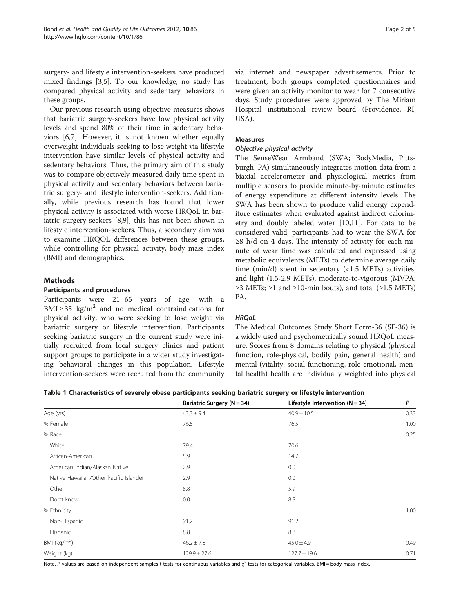<span id="page-1-0"></span>surgery- and lifestyle intervention-seekers have produced mixed findings [\[3](#page-3-0)[,5](#page-4-0)]. To our knowledge, no study has compared physical activity and sedentary behaviors in these groups.

Our previous research using objective measures shows that bariatric surgery-seekers have low physical activity levels and spend 80% of their time in sedentary behaviors [[6](#page-4-0),[7](#page-4-0)]. However, it is not known whether equally overweight individuals seeking to lose weight via lifestyle intervention have similar levels of physical activity and sedentary behaviors. Thus, the primary aim of this study was to compare objectively-measured daily time spent in physical activity and sedentary behaviors between bariatric surgery- and lifestyle intervention-seekers. Additionally, while previous research has found that lower physical activity is associated with worse HRQoL in bariatric surgery-seekers [[8,9\]](#page-4-0), this has not been shown in lifestyle intervention-seekers. Thus, a secondary aim was to examine HRQOL differences between these groups, while controlling for physical activity, body mass index (BMI) and demographics.

## **Methods**

## Participants and procedures

Participants were 21–65 years of age, with a BMI  $\geq$  35 kg/m<sup>2</sup> and no medical contraindications for physical activity, who were seeking to lose weight via bariatric surgery or lifestyle intervention. Participants seeking bariatric surgery in the current study were initially recruited from local surgery clinics and patient support groups to participate in a wider study investigating behavioral changes in this population. Lifestyle intervention-seekers were recruited from the community via internet and newspaper advertisements. Prior to treatment, both groups completed questionnaires and were given an activity monitor to wear for 7 consecutive days. Study procedures were approved by The Miriam Hospital institutional review board (Providence, RI, USA).

## Measures

## Objective physical activity

The SenseWear Armband (SWA; BodyMedia, Pittsburgh, PA) simultaneously integrates motion data from a biaxial accelerometer and physiological metrics from multiple sensors to provide minute-by-minute estimates of energy expenditure at different intensity levels. The SWA has been shown to produce valid energy expenditure estimates when evaluated against indirect calorimetry and doubly labeled water [\[10,11](#page-4-0)]. For data to be considered valid, participants had to wear the SWA for  $\geq$ 8 h/d on 4 days. The intensity of activity for each minute of wear time was calculated and expressed using metabolic equivalents (METs) to determine average daily time (min/d) spent in sedentary (<1.5 METs) activities, and light (1.5-2.9 METs), moderate-to-vigorous (MVPA:  $≥3$  METs;  $≥1$  and  $≥10$ -min bouts), and total ( $≥1.5$  METs) PA.

## **HRQoL**

The Medical Outcomes Study Short Form-36 (SF-36) is a widely used and psychometrically sound HRQoL measure. Scores from 8 domains relating to physical (physical function, role-physical, bodily pain, general health) and mental (vitality, social functioning, role-emotional, mental health) health are individually weighted into physical

| Table 1 Characteristics of severely obese participants seeking bariatric surgery or lifestyle intervention |  |  |  |
|------------------------------------------------------------------------------------------------------------|--|--|--|
|------------------------------------------------------------------------------------------------------------|--|--|--|

|                                        | Bariatric Surgery (N = 34) | Lifestyle Intervention ( $N = 34$ ) | P    |
|----------------------------------------|----------------------------|-------------------------------------|------|
| Age (yrs)                              | $43.3 \pm 9.4$             | $40.9 \pm 10.5$                     | 0.33 |
| % Female                               | 76.5                       | 76.5                                | 1.00 |
| % Race                                 |                            |                                     | 0.25 |
| White                                  | 79.4                       | 70.6                                |      |
| African-American                       | 5.9                        | 14.7                                |      |
| American Indian/Alaskan Native         | 2.9                        | 0.0                                 |      |
| Native Hawaiian/Other Pacific Islander | 2.9                        | 0.0                                 |      |
| Other                                  | 8.8                        | 5.9                                 |      |
| Don't know                             | 0.0                        | 8.8                                 |      |
| % Ethnicity                            |                            |                                     | 1.00 |
| Non-Hispanic                           | 91.2                       | 91.2                                |      |
| Hispanic                               | 8.8                        | 8.8                                 |      |
| BMI ( $kg/m2$ )                        | $46.2 \pm 7.8$             | $45.0 \pm 4.9$                      | 0.49 |
| Weight (kg)                            | $129.9 \pm 27.6$           | $127.7 \pm 19.6$                    | 0.71 |

Note. P values are based on independent samples t-tests for continuous variables and  $\chi^2$  tests for categorical variables. BMI = body mass index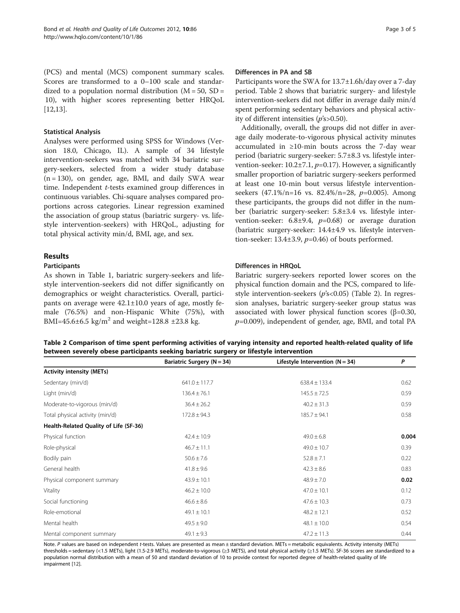(PCS) and mental (MCS) component summary scales. Scores are transformed to a 0–100 scale and standardized to a population normal distribution  $(M = 50, SD =$ 10), with higher scores representing better HRQoL [[12,13\]](#page-4-0).

## Statistical Analysis

Analyses were performed using SPSS for Windows (Version 18.0, Chicago, IL). A sample of 34 lifestyle intervention-seekers was matched with 34 bariatric surgery-seekers, selected from a wider study database  $(n = 130)$ , on gender, age, BMI, and daily SWA wear time. Independent t-tests examined group differences in continuous variables. Chi-square analyses compared proportions across categories. Linear regression examined the association of group status (bariatric surgery- vs. lifestyle intervention-seekers) with HRQoL, adjusting for total physical activity min/d, BMI, age, and sex.

## Results

#### Participants

As shown in Table [1,](#page-1-0) bariatric surgery-seekers and lifestyle intervention-seekers did not differ significantly on demographics or weight characteristics. Overall, participants on average were  $42.1 \pm 10.0$  years of age, mostly female (76.5%) and non-Hispanic White (75%), with BMI=45.6±6.5 kg/m<sup>2</sup> and weight=128.8 ±23.8 kg.

#### Differences in PA and SB

Participants wore the SWA for 13.7±1.6h/day over a 7-day period. Table 2 shows that bariatric surgery- and lifestyle intervention-seekers did not differ in average daily min/d spent performing sedentary behaviors and physical activity of different intensities (p's>0.50).

Additionally, overall, the groups did not differ in average daily moderate-to-vigorous physical activity minutes accumulated in ≥10-min bouts across the 7-day wear period (bariatric surgery-seeker: 5.7±8.3 vs. lifestyle intervention-seeker:  $10.2 \pm 7.1$ ,  $p=0.17$ ). However, a significantly smaller proportion of bariatric surgery-seekers performed at least one 10-min bout versus lifestyle interventionseekers  $(47.1\%/n=16$  vs.  $82.4\%/n=28$ ,  $p=0.005$ ). Among these participants, the groups did not differ in the number (bariatric surgery-seeker: 5.8±3.4 vs. lifestyle intervention-seeker:  $6.8\pm9.4$ ,  $p=0.68$ ) or average duration (bariatric surgery-seeker: 14.4±4.9 vs. lifestyle intervention-seeker: 13.4 $\pm$ 3.9,  $p$ =0.46) of bouts performed.

## Differences in HRQoL

Bariatric surgery-seekers reported lower scores on the physical function domain and the PCS, compared to lifestyle intervention-seekers (p's<0.05) (Table 2). In regression analyses, bariatric surgery-seeker group status was associated with lower physical function scores (β=0.30,  $p=0.009$ ), independent of gender, age, BMI, and total PA

Table 2 Comparison of time spent performing activities of varying intensity and reported health-related quality of life between severely obese participants seeking bariatric surgery or lifestyle intervention

|                                        | Bariatric Surgery (N = 34) | Lifestyle Intervention $(N = 34)$ | P     |
|----------------------------------------|----------------------------|-----------------------------------|-------|
| <b>Activity intensity (METs)</b>       |                            |                                   |       |
| Sedentary (min/d)                      | $641.0 \pm 117.7$          | $638.4 \pm 133.4$                 | 0.62  |
| Light (min/d)                          | $136.4 \pm 76.1$           | $145.5 \pm 72.5$                  | 0.59  |
| Moderate-to-vigorous (min/d)           | $36.4 \pm 26.2$            | $40.2 \pm 31.3$                   | 0.59  |
| Total physical activity (min/d)        | $172.8 \pm 94.3$           | $185.7 \pm 94.1$                  | 0.58  |
| Health-Related Quality of Life (SF-36) |                            |                                   |       |
| Physical function                      | $42.4 \pm 10.9$            | $49.0 \pm 6.8$                    | 0.004 |
| Role-physical                          | $46.7 \pm 11.1$            | $49.0 \pm 10.7$                   | 0.39  |
| Bodily pain                            | $50.6 \pm 7.6$             | $52.8 \pm 7.1$                    | 0.22  |
| General health                         | $41.8 \pm 9.6$             | $42.3 \pm 8.6$                    | 0.83  |
| Physical component summary             | $43.9 \pm 10.1$            | $48.9 \pm 7.0$                    | 0.02  |
| Vitality                               | $46.2 \pm 10.0$            | $47.0 \pm 10.1$                   | 0.12  |
| Social functioning                     | $46.6 \pm 8.6$             | $47.6 \pm 10.3$                   | 0.73  |
| Role-emotional                         | $49.1 \pm 10.1$            | $48.2 \pm 12.1$                   | 0.52  |
| Mental health                          | $49.5 \pm 9.0$             | $48.1 \pm 10.0$                   | 0.54  |
| Mental component summary               | $49.1 \pm 9.3$             | $47.2 \pm 11.3$                   | 0.44  |

Note. P values are based on independent t-tests. Values are presented as mean ± standard deviation. METs = metabolic equivalents. Activity intensity (METs) thresholds = sedentary (<1.5 METs), light (1.5-2.9 METs), moderate-to-vigorous (≥3 METS), and total physical activity (≥1.5 METs). SF-36 scores are standardized to a population normal distribution with a mean of 50 and standard deviation of 10 to provide context for reported degree of health-related quality of life impairment [[12](#page-4-0)].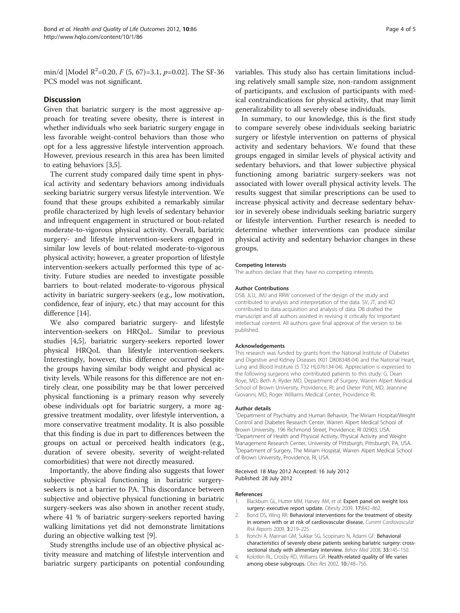<span id="page-3-0"></span>min/d [Model R<sup>2</sup>=0.20, *F* (5, 67)=3.1, *p*=0.02]. The SF-36 PCS model was not significant.

## **Discussion**

Given that bariatric surgery is the most aggressive approach for treating severe obesity, there is interest in whether individuals who seek bariatric surgery engage in less favorable weight-control behaviors than those who opt for a less aggressive lifestyle intervention approach. However, previous research in this area has been limited to eating behaviors [3[,5](#page-4-0)].

The current study compared daily time spent in physical activity and sedentary behaviors among individuals seeking bariatric surgery versus lifestyle intervention. We found that these groups exhibited a remarkably similar profile characterized by high levels of sedentary behavior and infrequent engagement in structured or bout-related moderate-to-vigorous physical activity. Overall, bariatric surgery- and lifestyle intervention-seekers engaged in similar low levels of bout-related moderate-to-vigorous physical activity; however, a greater proportion of lifestyle intervention-seekers actually performed this type of activity. Future studies are needed to investigate possible barriers to bout-related moderate-to-vigorous physical activity in bariatric surgery-seekers (e.g., low motivation, confidence, fear of injury, etc.) that may account for this difference [[14\]](#page-4-0).

We also compared bariatric surgery- and lifestyle intervention-seekers on HRQoL. Similar to previous studies [4[,5](#page-4-0)], bariatric surgery-seekers reported lower physical HRQoL than lifestyle intervention-seekers. Interestingly, however, this difference occurred despite the groups having similar body weight and physical activity levels. While reasons for this difference are not entirely clear, one possibility may be that lower perceived physical functioning is a primary reason why severely obese individuals opt for bariatric surgery, a more aggressive treatment modality, over lifestyle intervention, a more conservative treatment modality. It is also possible that this finding is due in part to differences between the groups on actual or perceived health indicators (e.g., duration of severe obesity, severity of weight-related comorbidities) that were not directly measured.

Importantly, the above finding also suggests that lower subjective physical functioning in bariatric surgeryseekers is not a barrier to PA. This discordance between subjective and objective physical functioning in bariatric surgery-seekers was also shown in another recent study, where 41 % of bariatric surgery-seekers reported having walking limitations yet did not demonstrate limitations during an objective walking test [\[9](#page-4-0)].

Study strengths include use of an objective physical activity measure and matching of lifestyle intervention and bariatric surgery participants on potential confounding variables. This study also has certain limitations including relatively small sample size, non-random assignment of participants, and exclusion of participants with medical contraindications for physical activity, that may limit generalizability to all severely obese individuals.

In summary, to our knowledge, this is the first study to compare severely obese individuals seeking bariatric surgery or lifestyle intervention on patterns of physical activity and sedentary behaviors. We found that these groups engaged in similar levels of physical activity and sedentary behaviors, and that lower subjective physical functioning among bariatric surgery-seekers was not associated with lower overall physical activity levels. The results suggest that similar prescriptions can be used to increase physical activity and decrease sedentary behavior in severely obese individuals seeking bariatric surgery or lifestyle intervention. Further research is needed to determine whether interventions can produce similar physical activity and sedentary behavior changes in these groups.

#### Competing Interests

The authors declare that they have no competing interests.

#### Author Contributions

DSB, JLU, JMJ and RRW conceived of the design of the study and contributed to analysis and interpretation of the data. SV, JT, and KO contributed to data acquisition and analysis of data. DB drafted the manuscript and all authors assisted in revising it critically for important intellectual content. All authors gave final approval of the version to be published.

#### Acknowledgements

This research was funded by grants from the National Institute of Diabetes and Digestive and Kidney Diseases (K01 DK08348-04) and the National Heart, Lung and Blood Institute (5 T32 HL076134-04). Appreciation is expressed to the following surgeons who contributed patients to this study: G. Dean Roye, MD, Beth A. Ryder MD, Department of Surgery, Warren Alpert Medical School of Brown University, Providence, RI; and Dieter Pohl, MD, Jeannine Giovanni, MD, Roger Williams Medical Center, Providence RI.

#### Author details

1 Department of Psychiatry and Human Behavior, The Miriam Hospital/Weight Control and Diabetes Research Center, Warren Alpert Medical School of Brown University, 196 Richmond Street, Providence, RI 02903, USA. <sup>2</sup> Department of Health and Physical Activity, Physical Activity and Weight Management Research Center, University of Pittsburgh, Pittsburgh, PA, USA. <sup>3</sup>Department of Surgery, The Miriam Hospital, Warren Alpert Medical School of Brown University, Providence, RI, USA.

#### Received: 18 May 2012 Accepted: 16 July 2012 Published: 28 July 2012

#### References

- Blackburn GL, Hutter MM, Harvey AM, et al: Expert panel on weight loss surgery: executive report update. Obesity 2009, 17:842–862.
- 2. Bond DS, Wing RR: Behavioral interventions for the treatment of obesity in women with or at risk of cardiovascular disease. Current Cardiovascular Risk Reports 2009, 3:219–225.
- 3. Ronchi A, Marinari GM, Sukkar SG, Scopinaro N, Adami GF: Behavioral characteristics of severely obese patients seeking bariatric surgery: crosssectional study with alimentary interview. Behav Med 2008, 33:145–150.
- 4. Kolotkin RL, Crosby RD, Williams GR: Health-related quality of life varies among obese subgroups. Obes Res 2002, 10:748–756.